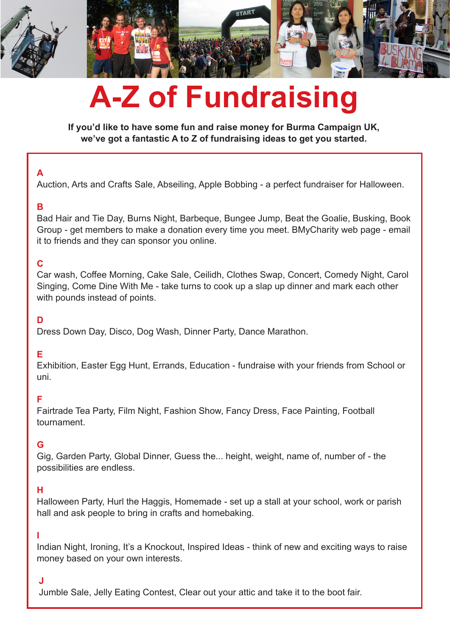

# **A-Z of Fundraising**

**If you'd like to have some fun and raise money for Burma Campaign UK, we've got a fantastic A to Z of fundraising ideas to get you started.**

# **A**

Auction, Arts and Crafts Sale, Abseiling, Apple Bobbing - a perfect fundraiser for Halloween.

## **B**

Bad Hair and Tie Day, Burns Night, Barbeque, Bungee Jump, Beat the Goalie, Busking, Book Group - get members to make a donation every time you meet. BMyCharity web page - email it to friends and they can sponsor you online.

# **C**

Car wash, Coffee Morning, Cake Sale, Ceilidh, Clothes Swap, Concert, Comedy Night, Carol Singing, Come Dine With Me - take turns to cook up a slap up dinner and mark each other with pounds instead of points.

## **D**

Dress Down Day, Disco, Dog Wash, Dinner Party, Dance Marathon.

## **E**

Exhibition, Easter Egg Hunt, Errands, Education - fundraise with your friends from School or uni.

## **F**

Fairtrade Tea Party, Film Night, Fashion Show, Fancy Dress, Face Painting, Football tournament.

## **G**

Gig, Garden Party, Global Dinner, Guess the... height, weight, name of, number of - the possibilities are endless.

## **H**

Halloween Party, Hurl the Haggis, Homemade - set up a stall at your school, work or parish hall and ask people to bring in crafts and homebaking.

#### **I**

Indian Night, Ironing, It's a Knockout, Inspired Ideas - think of new and exciting ways to raise money based on your own interests.

# **J**

Jumble Sale, Jelly Eating Contest, Clear out your attic and take it to the boot fair.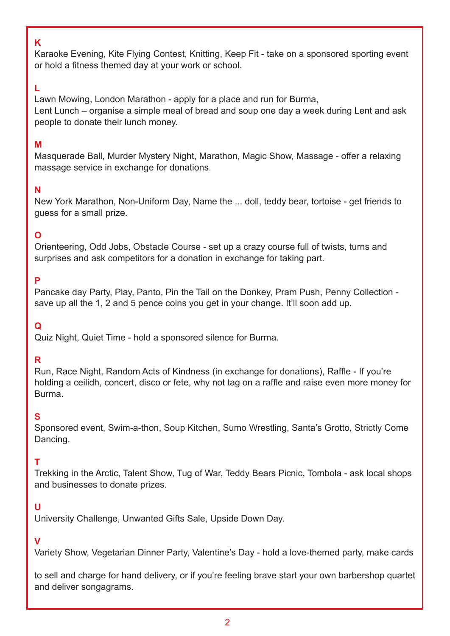#### **K**

Karaoke Evening, Kite Flying Contest, Knitting, Keep Fit - take on a sponsored sporting event or hold a fitness themed day at your work or school.

## **L**

Lawn Mowing, London Marathon - apply for a place and run for Burma, Lent Lunch – organise a simple meal of bread and soup one day a week during Lent and ask people to donate their lunch money.

## **M**

Masquerade Ball, Murder Mystery Night, Marathon, Magic Show, Massage - offer a relaxing massage service in exchange for donations.

## **N**

New York Marathon, Non-Uniform Day, Name the ... doll, teddy bear, tortoise - get friends to guess for a small prize.

# **O**

Orienteering, Odd Jobs, Obstacle Course - set up a crazy course full of twists, turns and surprises and ask competitors for a donation in exchange for taking part.

## **P**

Pancake day Party, Play, Panto, Pin the Tail on the Donkey, Pram Push, Penny Collection save up all the 1, 2 and 5 pence coins you get in your change. It'll soon add up.

# **Q**

Quiz Night, Quiet Time - hold a sponsored silence for Burma.

## **R**

Run, Race Night, Random Acts of Kindness (in exchange for donations), Raffle - If you're holding a ceilidh, concert, disco or fete, why not tag on a raffle and raise even more money for Burma.

## **S**

Sponsored event, Swim-a-thon, Soup Kitchen, Sumo Wrestling, Santa's Grotto, Strictly Come Dancing.

# **T**

Trekking in the Arctic, Talent Show, Tug of War, Teddy Bears Picnic, Tombola - ask local shops and businesses to donate prizes.

## **U**

University Challenge, Unwanted Gifts Sale, Upside Down Day.

## **V**

Variety Show, Vegetarian Dinner Party, Valentine's Day - hold a love-themed party, make cards

to sell and charge for hand delivery, or if you're feeling brave start your own barbershop quartet and deliver songagrams.